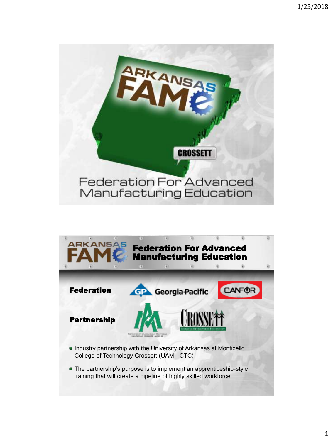

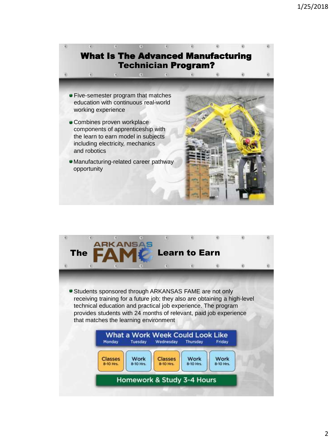

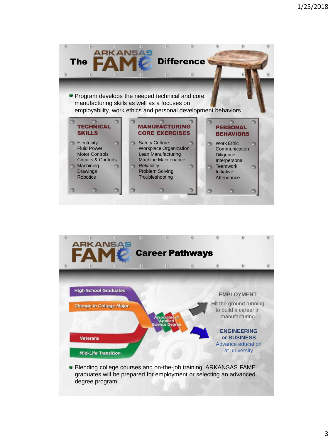



graduates will be prepared for employment or selecting an advanced degree program.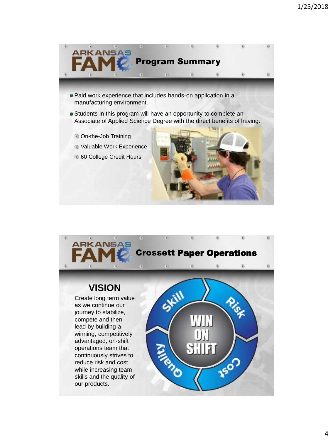

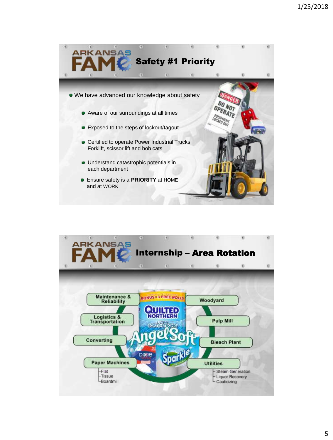

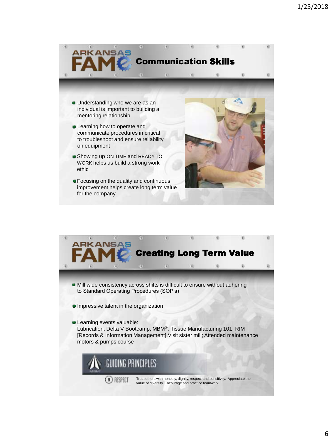

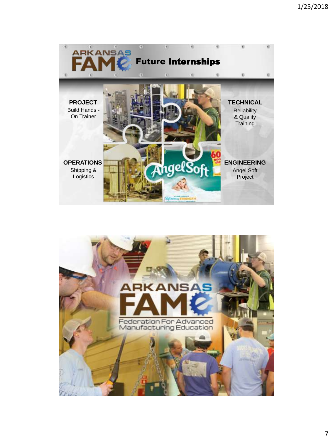